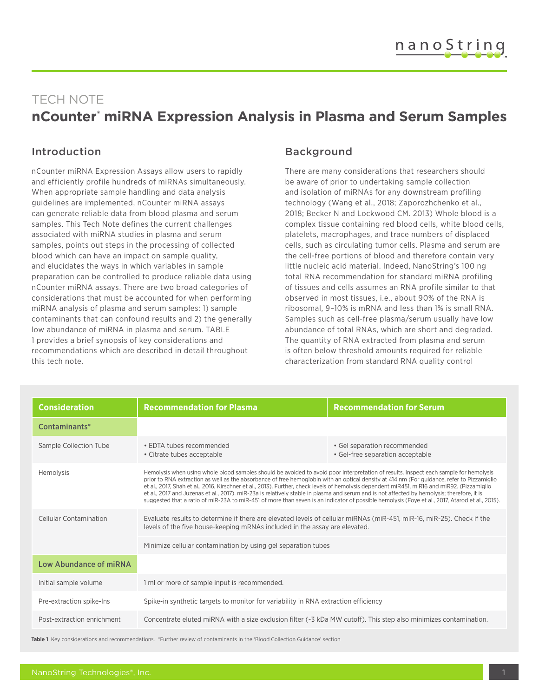# TECH NOTE **nCounter® miRNA Expression Analysis in Plasma and Serum Samples**

## Introduction

nCounter miRNA Expression Assays allow users to rapidly and efficiently profile hundreds of miRNAs simultaneously. When appropriate sample handling and data analysis guidelines are implemented, nCounter miRNA assays can generate reliable data from blood plasma and serum samples. This Tech Note defines the current challenges associated with miRNA studies in plasma and serum samples, points out steps in the processing of collected blood which can have an impact on sample quality, and elucidates the ways in which variables in sample preparation can be controlled to produce reliable data using nCounter miRNA assays. There are two broad categories of considerations that must be accounted for when performing miRNA analysis of plasma and serum samples: 1) sample contaminants that can confound results and 2) the generally low abundance of miRNA in plasma and serum. TABLE 1 provides a brief synopsis of key considerations and recommendations which are described in detail throughout this tech note.

## Background

There are many considerations that researchers should be aware of prior to undertaking sample collection and isolation of miRNAs for any downstream profiling technology (Wang et al., 2018; Zaporozhchenko et al., 2018; Becker N and Lockwood CM. 2013) Whole blood is a complex tissue containing red blood cells, white blood cells, platelets, macrophages, and trace numbers of displaced cells, such as circulating tumor cells. Plasma and serum are the cell-free portions of blood and therefore contain very little nucleic acid material. Indeed, NanoString's 100 ng total RNA recommendation for standard miRNA profiling of tissues and cells assumes an RNA profile similar to that observed in most tissues, i.e., about 90% of the RNA is ribosomal, 9–10% is mRNA and less than 1% is small RNA. Samples such as cell-free plasma/serum usually have low abundance of total RNAs, which are short and degraded. The quantity of RNA extracted from plasma and serum is often below threshold amounts required for reliable characterization from standard RNA quality control

| <b>Consideration</b>       | <b>Recommendation for Plasma</b>                                                                                                                                                                                                                                                                                                                                                                                                                                                                                                                                                                                                                                                                                                      | <b>Recommendation for Serum</b>                                  |
|----------------------------|---------------------------------------------------------------------------------------------------------------------------------------------------------------------------------------------------------------------------------------------------------------------------------------------------------------------------------------------------------------------------------------------------------------------------------------------------------------------------------------------------------------------------------------------------------------------------------------------------------------------------------------------------------------------------------------------------------------------------------------|------------------------------------------------------------------|
| Contaminants*              |                                                                                                                                                                                                                                                                                                                                                                                                                                                                                                                                                                                                                                                                                                                                       |                                                                  |
| Sample Collection Tube     | • EDTA tubes recommended<br>• Citrate tubes acceptable                                                                                                                                                                                                                                                                                                                                                                                                                                                                                                                                                                                                                                                                                | · Gel separation recommended<br>• Gel-free separation acceptable |
| Hemolysis                  | Hemolysis when using whole blood samples should be avoided to avoid poor interpretation of results. Inspect each sample for hemolysis<br>prior to RNA extraction as well as the absorbance of free hemoglobin with an optical density at 414 nm (For quidance, refer to Pizzamiglio<br>et al., 2017, Shah et al., 2016, Kirschner et al., 2013). Further, check levels of hemolysis dependent miR451, miR16 and miR92. (Pizzamiglio<br>et al., 2017 and Juzenas et al., 2017). miR-23a is relatively stable in plasma and serum and is not affected by hemolysis; therefore, it is<br>suggested that a ratio of miR-23A to miR-451 of more than seven is an indicator of possible hemolysis (Foye et al., 2017, Atarod et al., 2015). |                                                                  |
| Cellular Contamination     | Evaluate results to determine if there are elevated levels of cellular miRNAs (miR-451, miR-16, miR-25). Check if the<br>levels of the five house-keeping mRNAs included in the assay are elevated.                                                                                                                                                                                                                                                                                                                                                                                                                                                                                                                                   |                                                                  |
|                            | Minimize cellular contamination by using gel separation tubes                                                                                                                                                                                                                                                                                                                                                                                                                                                                                                                                                                                                                                                                         |                                                                  |
| Low Abundance of miRNA     |                                                                                                                                                                                                                                                                                                                                                                                                                                                                                                                                                                                                                                                                                                                                       |                                                                  |
| Initial sample volume      | 1 ml or more of sample input is recommended.                                                                                                                                                                                                                                                                                                                                                                                                                                                                                                                                                                                                                                                                                          |                                                                  |
| Pre-extraction spike-Ins   | Spike-in synthetic targets to monitor for variability in RNA extraction efficiency                                                                                                                                                                                                                                                                                                                                                                                                                                                                                                                                                                                                                                                    |                                                                  |
| Post-extraction enrichment | Concentrate eluted miRNA with a size exclusion filter (~3 kDa MW cutoff). This step also minimizes contamination.                                                                                                                                                                                                                                                                                                                                                                                                                                                                                                                                                                                                                     |                                                                  |

**Table 1** Key considerations and recommendations. \*Further review of contaminants in the 'Blood Collection Guidance' section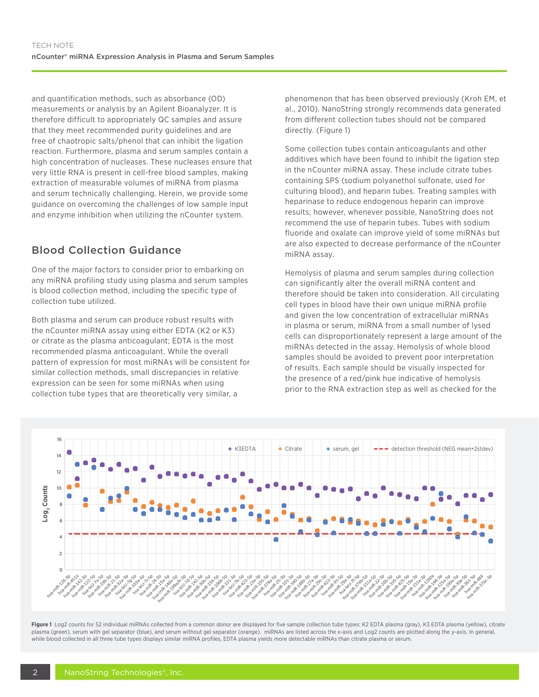and quantification methods, such as absorbance (OD) measurements or analysis by an Agilent Bioanalyzer. It is therefore difficult to appropriately QC samples and assure that they meet recommended purity guidelines and are free of chaotropic salts/phenol that can inhibit the ligation reaction. Furthermore, plasma and serum samples contain a high concentration of nucleases. These nucleases ensure that very little RNA is present in cell-free blood samples, making extraction of measurable volumes of miRNA from plasma and serum technically challenging. Herein, we provide some guidance on overcoming the challenges of low sample input and enzyme inhibition when utilizing the nCounter system.

# Blood Collection Guidance

One of the major factors to consider prior to embarking on any miRNA profiling study using plasma and serum samples is blood collection method, including the specific type of collection tube utilized.

Both plasma and serum can produce robust results with the nCounter miRNA assay using either EDTA (K2 or K3) or citrate as the plasma anticoagulant; EDTA is the most recommended plasma anticoagulant. While the overall pattern of expression for most miRNAs will be consistent for similar collection methods, small discrepancies in relative expression can be seen for some miRNAs when using collection tube types that are theoretically very similar, a

phenomenon that has been observed previously (Kroh EM, et al., 2010). NanoString strongly recommends data generated from different collection tubes should not be compared directly. (Figure 1)

Some collection tubes contain anticoagulants and other additives which have been found to inhibit the ligation step in the nCounter miRNA assay. These include citrate tubes containing SPS (sodium polyanethol sulfonate, used for culturing blood), and heparin tubes. Treating samples with heparinase to reduce endogenous heparin can improve results; however, whenever possible, NanoString does not recommend the use of heparin tubes. Tubes with sodium fluoride and oxalate can improve yield of some miRNAs but are also expected to decrease performance of the nCounter miRNA assay.

Hemolysis of plasma and serum samples during collection can significantly alter the overall miRNA content and therefore should be taken into consideration. All circulating cell types in blood have their own unique miRNA profile and given the low concentration of extracellular miRNAs in plasma or serum, miRNA from a small number of lysed cells can disproportionately represent a large amount of the miRNAs detected in the assay. Hemolysis of whole blood samples should be avoided to prevent poor interpretation of results. Each sample should be visually inspected for the presence of a red/pink hue indicative of hemolysis prior to the RNA extraction step as well as checked for the



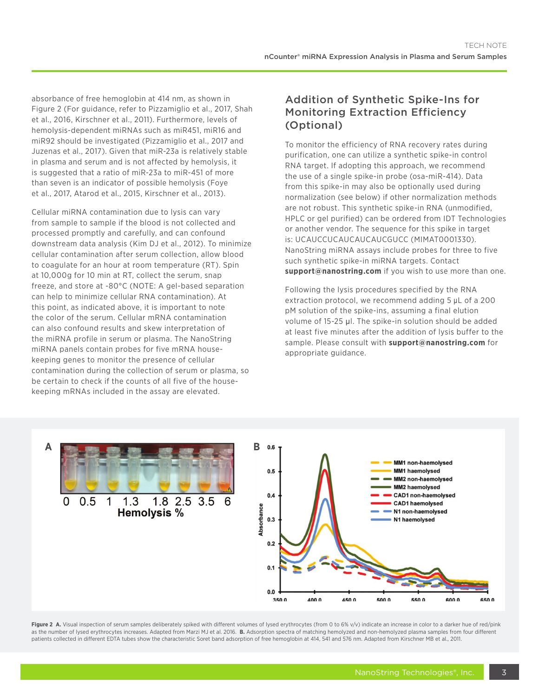absorbance of free hemoglobin at 414 nm, as shown in Figure 2 (For guidance, refer to Pizzamiglio et al., 2017, Shah et al., 2016, Kirschner et al., 2011). Furthermore, levels of hemolysis-dependent miRNAs such as miR451, miR16 and miR92 should be investigated (Pizzamiglio et al., 2017 and Juzenas et al., 2017). Given that miR-23a is relatively stable in plasma and serum and is not affected by hemolysis, it is suggested that a ratio of miR-23a to miR-451 of more than seven is an indicator of possible hemolysis (Foye et al., 2017, Atarod et al., 2015, Kirschner et al., 2013).

Cellular miRNA contamination due to lysis can vary from sample to sample if the blood is not collected and processed promptly and carefully, and can confound downstream data analysis (Kim DJ et al., 2012). To minimize cellular contamination after serum collection, allow blood to coagulate for an hour at room temperature (RT). Spin at 10,000g for 10 min at RT, collect the serum, snap freeze, and store at -80°C (NOTE: A gel-based separation can help to minimize cellular RNA contamination). At this point, as indicated above, it is important to note the color of the serum. Cellular mRNA contamination can also confound results and skew interpretation of the miRNA profile in serum or plasma. The NanoString miRNA panels contain probes for five mRNA housekeeping genes to monitor the presence of cellular contamination during the collection of serum or plasma, so be certain to check if the counts of all five of the housekeeping mRNAs included in the assay are elevated.

## Addition of Synthetic Spike-Ins for Monitoring Extraction Efficiency (Optional)

To monitor the efficiency of RNA recovery rates during purification, one can utilize a synthetic spike-in control RNA target. If adopting this approach, we recommend the use of a single spike-in probe (osa-miR-414). Data from this spike-in may also be optionally used during normalization (see below) if other normalization methods are not robust. This synthetic spike-in RNA (unmodified, HPLC or gel purified) can be ordered from IDT Technologies or another vendor. The sequence for this spike in target is: UCAUCCUCAUCAUCAUCGUCC (MIMAT0001330). NanoString miRNA assays include probes for three to five such synthetic spike-in miRNA targets. Contact **support@nanostring.com** if you wish to use more than one.

Following the lysis procedures specified by the RNA extraction protocol, we recommend adding 5 μL of a 200 pM solution of the spike-ins, assuming a final elution volume of 15-25 µl. The spike-in solution should be added at least five minutes after the addition of lysis buffer to the sample. Please consult with **support@nanostring.com** for appropriate guidance.



Figure 2 A. Visual inspection of serum samples deliberately spiked with different volumes of lysed erythrocytes (from 0 to 6% v/v) indicate an increase in color to a darker hue of red/pink as the number of lysed erythrocytes increases. Adapted from Marzi MJ et al. 2016. **B.** Adsorption spectra of matching hemolyzed and non-hemolyzed plasma samples from four different patients collected in different EDTA tubes show the characteristic Soret band adsorption of free hemoglobin at 414, 541 and 576 nm. Adapted from Kirschner MB et al., 2011.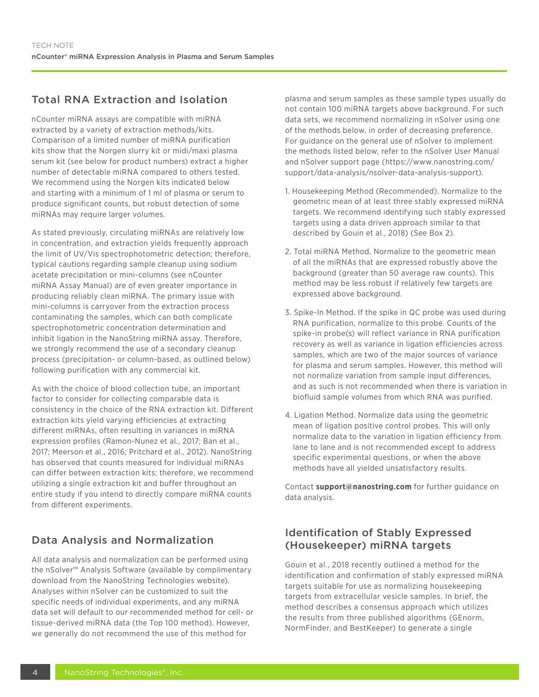# Total RNA Extraction and Isolation

nCounter miRNA assays are compatible with miRNA extracted by a variety of extraction methods/kits. Comparison of a limited number of miRNA purification kits show that the Norgen slurry kit or midi/maxi plasma serum kit (see below for product numbers) extract a higher number of detectable miRNA compared to others tested. We recommend using the Norgen kits indicated below and starting with a minimum of 1 ml of plasma or serum to produce significant counts, but robust detection of some miRNAs may require larger volumes.

As stated previously, circulating miRNAs are relatively low in concentration, and extraction yields frequently approach the limit of UV/Vis spectrophotometric detection; therefore, typical cautions regarding sample cleanup using sodium acetate precipitation or mini-columns (see nCounter miRNA Assay Manual) are of even greater importance in producing reliably clean miRNA. The primary issue with mini-columns is carryover from the extraction process contaminating the samples, which can both complicate spectrophotometric concentration determination and inhibit ligation in the NanoString miRNA assay. Therefore, we strongly recommend the use of a secondary cleanup process (precipitation- or column-based, as outlined below) following purification with any commercial kit.

As with the choice of blood collection tube, an important factor to consider for collecting comparable data is consistency in the choice of the RNA extraction kit. Different extraction kits yield varying efficiencies at extracting different miRNAs, often resulting in variances in miRNA expression profiles (Ramon-Nunez et al., 2017; Ban et al., 2017; Meerson et al., 2016; Pritchard et al., 2012). NanoString has observed that counts measured for individual miRNAs can differ between extraction kits; therefore, we recommend utilizing a single extraction kit and buffer throughout an entire study if you intend to directly compare miRNA counts from different experiments.

# Data Analysis and Normalization

All data analysis and normalization can be performed using the nSolver™ Analysis Software (available by complimentary download from the NanoString Technologies website). Analyses within nSolver can be customized to suit the specific needs of individual experiments, and any miRNA data set will default to our recommended method for cell- or tissue-derived miRNA data (the Top 100 method). However, we generally do not recommend the use of this method for

plasma and serum samples as these sample types usually do not contain 100 miRNA targets above background. For such data sets, we recommend normalizing in nSolver using one of the methods below, in order of decreasing preference. For guidance on the general use of nSolver to implement the methods listed below, refer to the nSolver User Manual and nSolver support page (https://www.nanostring.com/ support/data-analysis/nsolver-data-analysis-support).

- 1. Housekeeping Method (Recommended). Normalize to the geometric mean of at least three stably expressed miRNA targets. We recommend identifying such stably expressed targets using a data driven approach similar to that described by Gouin et al., 2018) (See Box 2).
- 2. Total miRNA Method. Normalize to the geometric mean of all the miRNAs that are expressed robustly above the background (greater than 50 average raw counts). This method may be less robust if relatively few targets are expressed above background.
- 3. Spike-In Method. If the spike in QC probe was used during RNA purification, normalize to this probe. Counts of the spike-in probe(s) will reflect variance in RNA purification recovery as well as variance in ligation efficiencies across samples, which are two of the major sources of variance for plasma and serum samples. However, this method will not normalize variation from sample input differences, and as such is not recommended when there is variation in biofluid sample volumes from which RNA was purified.
- 4. Ligation Method. Normalize data using the geometric mean of ligation positive control probes. This will only normalize data to the variation in ligation efficiency from lane to lane and is not recommended except to address specific experimental questions, or when the above methods have all yielded unsatisfactory results.

Contact **support@nanostring.com** for further guidance on data analysis.

# Identification of Stably Expressed (Housekeeper) miRNA targets

Gouin et al., 2018 recently outlined a method for the identification and confirmation of stably expressed miRNA targets suitable for use as normalizing housekeeping targets from extracellular vesicle samples. In brief, the method describes a consensus approach which utilizes the results from three published algorithms (GEnorm, NormFinder, and BestKeeper) to generate a single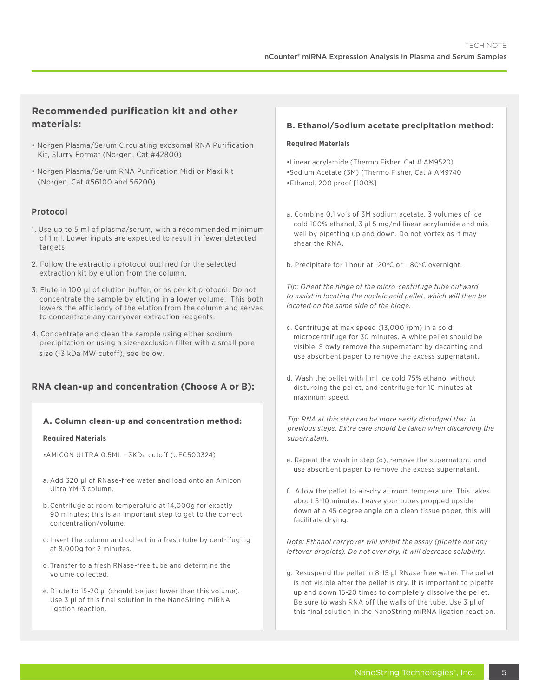#### **Recommended purification kit and other materials:**

- Norgen Plasma/Serum Circulating exosomal RNA Purification Kit, Slurry Format (Norgen, Cat #42800)
- Norgen Plasma/Serum RNA Purification Midi or Maxi kit (Norgen, Cat #56100 and 56200).

#### **Protocol**

- 1. Use up to 5 ml of plasma/serum, with a recommended minimum of 1 ml. Lower inputs are expected to result in fewer detected targets.
- 2. Follow the extraction protocol outlined for the selected extraction kit by elution from the column.
- 3. Elute in 100 µl of elution buffer, or as per kit protocol. Do not concentrate the sample by eluting in a lower volume. This both lowers the efficiency of the elution from the column and serves to concentrate any carryover extraction reagents.
- 4. Concentrate and clean the sample using either sodium precipitation or using a size-exclusion filter with a small pore size (~3 kDa MW cutoff), see below.

### **RNA clean-up and concentration (Choose A or B):**

#### **A. Column clean-up and concentration method:**

#### **Required Materials**

•AMICON ULTRA 0.5ML - 3KDa cutoff (UFC500324)

- a. Add 320 µl of RNase-free water and load onto an Amicon Ultra YM-3 column.
- b. Centrifuge at room temperature at 14,000g for exactly 90 minutes; this is an important step to get to the correct concentration/volume.
- c. Invert the column and collect in a fresh tube by centrifuging at 8,000g for 2 minutes.
- d. Transfer to a fresh RNase-free tube and determine the volume collected.
- e. Dilute to 15-20 μl (should be just lower than this volume). Use 3 µl of this final solution in the NanoString miRNA ligation reaction.

#### **B. Ethanol/Sodium acetate precipitation method:**

#### **Required Materials**

•Linear acrylamide (Thermo Fisher, Cat # AM9520) •Sodium Acetate (3M) (Thermo Fisher, Cat # AM9740 •Ethanol, 200 proof [100%]

- a. Combine 0.1 vols of 3M sodium acetate, 3 volumes of ice cold 100% ethanol, 3 µl 5 mg/ml linear acrylamide and mix well by pipetting up and down. Do not vortex as it may shear the RNA.
- b. Precipitate for 1 hour at -20 $^{\circ}$ C or -80 $^{\circ}$ C overnight.

*Tip: Orient the hinge of the micro-centrifuge tube outward to assist in locating the nucleic acid pellet, which will then be located on the same side of the hinge.*

- c. Centrifuge at max speed (13,000 rpm) in a cold microcentrifuge for 30 minutes. A white pellet should be visible. Slowly remove the supernatant by decanting and use absorbent paper to remove the excess supernatant.
- d. Wash the pellet with 1 ml ice cold 75% ethanol without disturbing the pellet, and centrifuge for 10 minutes at maximum speed.

*Tip: RNA at this step can be more easily dislodged than in previous steps. Extra care should be taken when discarding the supernatant.*

- e. Repeat the wash in step (d), remove the supernatant, and use absorbent paper to remove the excess supernatant.
- f. Allow the pellet to air-dry at room temperature. This takes about 5-10 minutes. Leave your tubes propped upside down at a 45 degree angle on a clean tissue paper, this will facilitate drying.

*Note: Ethanol carryover will inhibit the assay (pipette out any leftover droplets). Do not over dry, it will decrease solubility.* 

g. Resuspend the pellet in 8-15 µl RNase-free water. The pellet is not visible after the pellet is dry. It is important to pipette up and down 15-20 times to completely dissolve the pellet. Be sure to wash RNA off the walls of the tube. Use 3 ul of this final solution in the NanoString miRNA ligation reaction.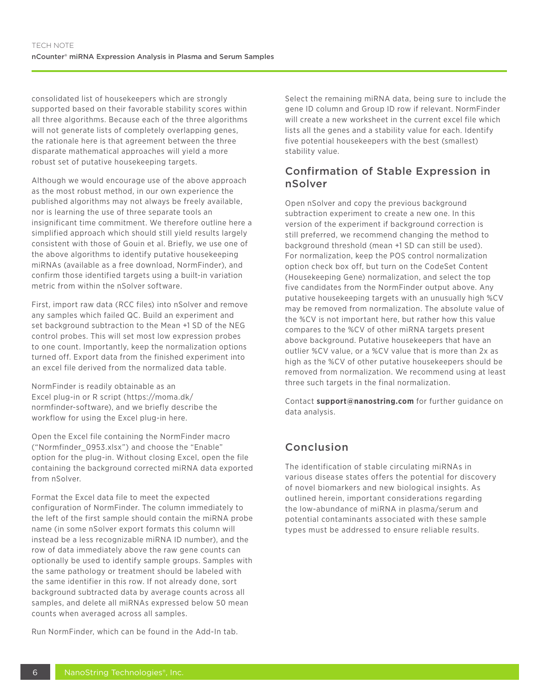consolidated list of housekeepers which are strongly supported based on their favorable stability scores within all three algorithms. Because each of the three algorithms will not generate lists of completely overlapping genes, the rationale here is that agreement between the three disparate mathematical approaches will yield a more robust set of putative housekeeping targets.

Although we would encourage use of the above approach as the most robust method, in our own experience the published algorithms may not always be freely available, nor is learning the use of three separate tools an insignificant time commitment. We therefore outline here a simplified approach which should still yield results largely consistent with those of Gouin et al. Briefly, we use one of the above algorithms to identify putative housekeeping miRNAs (available as a free download, NormFinder), and confirm those identified targets using a built-in variation metric from within the nSolver software.

First, import raw data (RCC files) into nSolver and remove any samples which failed QC. Build an experiment and set background subtraction to the Mean +1 SD of the NEG control probes. This will set most low expression probes to one count. Importantly, keep the normalization options turned off. Export data from the finished experiment into an excel file derived from the normalized data table.

NormFinder is readily obtainable as an Excel plug-in or R script (https://moma.dk/ normfinder-software), and we briefly describe the workflow for using the Excel plug-in here.

Open the Excel file containing the NormFinder macro ("Normfinder\_0953.xlsx") and choose the "Enable" option for the plug-in. Without closing Excel, open the file containing the background corrected miRNA data exported from nSolver.

Format the Excel data file to meet the expected configuration of NormFinder. The column immediately to the left of the first sample should contain the miRNA probe name (in some nSolver export formats this column will instead be a less recognizable miRNA ID number), and the row of data immediately above the raw gene counts can optionally be used to identify sample groups. Samples with the same pathology or treatment should be labeled with the same identifier in this row. If not already done, sort background subtracted data by average counts across all samples, and delete all miRNAs expressed below 50 mean counts when averaged across all samples.

Run NormFinder, which can be found in the Add-In tab.

Select the remaining miRNA data, being sure to include the gene ID column and Group ID row if relevant. NormFinder will create a new worksheet in the current excel file which lists all the genes and a stability value for each. Identify five potential housekeepers with the best (smallest) stability value.

## Confirmation of Stable Expression in nSolver

Open nSolver and copy the previous background subtraction experiment to create a new one. In this version of the experiment if background correction is still preferred, we recommend changing the method to background threshold (mean +1 SD can still be used). For normalization, keep the POS control normalization option check box off, but turn on the CodeSet Content (Housekeeping Gene) normalization, and select the top five candidates from the NormFinder output above. Any putative housekeeping targets with an unusually high %CV may be removed from normalization. The absolute value of the %CV is not important here, but rather how this value compares to the %CV of other miRNA targets present above background. Putative housekeepers that have an outlier %CV value, or a %CV value that is more than 2x as high as the %CV of other putative housekeepers should be removed from normalization. We recommend using at least three such targets in the final normalization.

Contact **support@nanostring.com** for further guidance on data analysis.

# Conclusion

The identification of stable circulating miRNAs in various disease states offers the potential for discovery of novel biomarkers and new biological insights. As outlined herein, important considerations regarding the low-abundance of miRNA in plasma/serum and potential contaminants associated with these sample types must be addressed to ensure reliable results.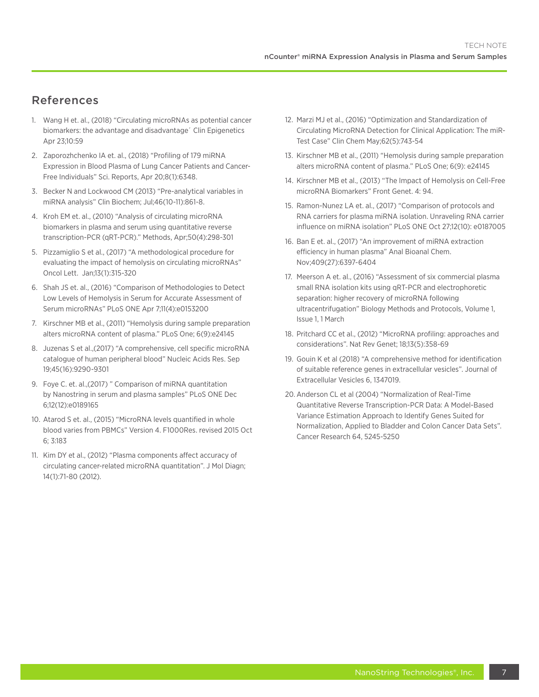# References

- 1. Wang H et. al., (2018) "Circulating microRNAs as potential cancer biomarkers: the advantage and disadvantage´ Clin Epigenetics Apr 23;10:59
- 2. Zaporozhchenko IA et. al., (2018) "Profiling of 179 miRNA Expression in Blood Plasma of Lung Cancer Patients and Cancer-Free Individuals" Sci. Reports, Apr 20;8(1):6348.
- 3. Becker N and Lockwood CM (2013) "Pre-analytical variables in miRNA analysis" Clin Biochem; Jul;46(10-11):861-8.
- 4. Kroh EM et. al., (2010) "Analysis of circulating microRNA biomarkers in plasma and serum using quantitative reverse transcription-PCR (qRT-PCR)." Methods, Apr;50(4):298-301
- 5. Pizzamiglio S et al., (2017) "A methodological procedure for evaluating the impact of hemolysis on circulating microRNAs" Oncol Lett. Jan;13(1):315-320
- 6. Shah JS et. al., (2016) "Comparison of Methodologies to Detect Low Levels of Hemolysis in Serum for Accurate Assessment of Serum microRNAs" PLoS ONE Apr 7;11(4):e0153200
- 7. Kirschner MB et al., (2011) "Hemolysis during sample preparation alters microRNA content of plasma." PLoS One; 6(9):e24145
- 8. Juzenas S et al.,(2017) "A comprehensive, cell specific microRNA catalogue of human peripheral blood" Nucleic Acids Res. Sep 19;45(16):9290-9301
- 9. Foye C. et. al.,(2017) " Comparison of miRNA quantitation by Nanostring in serum and plasma samples" PLoS ONE Dec 6;12(12):e0189165
- 10. Atarod S et. al., (2015) "MicroRNA levels quantified in whole blood varies from PBMCs" Version 4. F1000Res. revised 2015 Oct 6; 3:183
- 11. Kim DY et al., (2012) "Plasma components affect accuracy of circulating cancer-related microRNA quantitation". J Mol Diagn; 14(1):71-80 (2012).
- 12. Marzi MJ et al., (2016) "Optimization and Standardization of Circulating MicroRNA Detection for Clinical Application: The miR-Test Case" Clin Chem May;62(5):743-54
- 13. Kirschner MB et al., (2011) "Hemolysis during sample preparation alters microRNA content of plasma." PLoS One; 6(9): e24145
- 14. Kirschner MB et al., (2013) "The Impact of Hemolysis on Cell-Free microRNA Biomarkers" Front Genet. 4: 94.
- 15. Ramon-Nunez LA et. al., (2017) "Comparison of protocols and RNA carriers for plasma miRNA isolation. Unraveling RNA carrier influence on miRNA isolation" PLoS ONE Oct 27;12(10): e0187005
- 16. Ban E et. al., (2017) "An improvement of miRNA extraction efficiency in human plasma" Anal Bioanal Chem. Nov;409(27):6397-6404
- 17. Meerson A et. al., (2016) "Assessment of six commercial plasma small RNA isolation kits using qRT-PCR and electrophoretic separation: higher recovery of microRNA following ultracentrifugation" Biology Methods and Protocols, Volume 1, Issue 1, 1 March
- 18. Pritchard CC et al., (2012) "MicroRNA profiling: approaches and considerations". Nat Rev Genet; 18;13(5):358-69
- 19. Gouin K et al (2018) "A comprehensive method for identification of suitable reference genes in extracellular vesicles". Journal of Extracellular Vesicles 6, 1347019.
- 20. Anderson CL et al (2004) "Normalization of Real-Time Quantitative Reverse Transcription-PCR Data: A Model-Based Variance Estimation Approach to Identify Genes Suited for Normalization, Applied to Bladder and Colon Cancer Data Sets". Cancer Research 64, 5245-5250